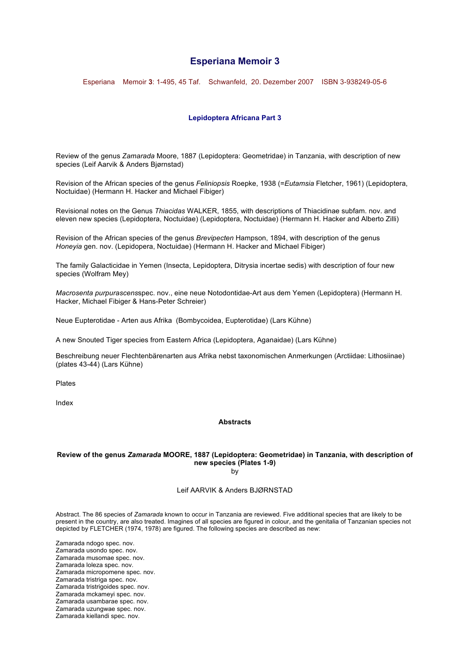# **Esperiana Memoir 3**

Esperiana Memoir **3**: 1-495, 45 Taf. Schwanfeld, 20. Dezember 2007 ISBN 3-938249-05-6

## **Lepidoptera Africana Part 3**

Review of the genus *Zamarada* Moore, 1887 (Lepidoptera: Geometridae) in Tanzania, with description of new species (Leif Aarvik & Anders Bjørnstad)

Revision of the African species of the genus *Feliniopsis* Roepke, 1938 (=*Eutamsia* Fletcher, 1961) (Lepidoptera, Noctuidae) (Hermann H. Hacker and Michael Fibiger)

Revisional notes on the Genus *Thiacidas* WALKER, 1855, with descriptions of Thiacidinae subfam. nov. and eleven new species (Lepidoptera, Noctuidae) (Lepidoptera, Noctuidae) (Hermann H. Hacker and Alberto Zilli)

Revision of the African species of the genus *Brevipecten* Hampson, 1894, with description of the genus *Honeyia* gen. nov. (Lepidopera, Noctuidae) (Hermann H. Hacker and Michael Fibiger)

The family Galacticidae in Yemen (Insecta, Lepidoptera, Ditrysia incertae sedis) with description of four new species (Wolfram Mey)

*Macrosenta purpurascens*spec. nov., eine neue Notodontidae-Art aus dem Yemen (Lepidoptera) (Hermann H. Hacker, Michael Fibiger & Hans-Peter Schreier)

Neue Eupterotidae - Arten aus Afrika (Bombycoidea, Eupterotidae) (Lars Kühne)

A new Snouted Tiger species from Eastern Africa (Lepidoptera, Aganaidae) (Lars Kühne)

Beschreibung neuer Flechtenbärenarten aus Afrika nebst taxonomischen Anmerkungen (Arctiidae: Lithosiinae) (plates 43-44) (Lars Kühne)

Plates

Index

## **Abstracts**

# **Review of the genus** *Zamarada* **MOORE, 1887 (Lepidoptera: Geometridae) in Tanzania, with description of new species (Plates 1-9)**

by

## Leif AARVIK & Anders BJØRNSTAD

Abstract. The 86 species of *Zamarada* known to occur in Tanzania are reviewed. Five additional species that are likely to be present in the country, are also treated. Imagines of all species are figured in colour, and the genitalia of Tanzanian species not depicted by FLETCHER (1974, 1978) are figured. The following species are described as new:

Zamarada ndogo spec. nov. Zamarada usondo spec. nov. Zamarada musomae spec. nov. Zamarada loleza spec. nov. Zamarada micropomene spec. nov. Zamarada tristriga spec. nov. Zamarada tristrigoides spec. nov. Zamarada mckameyi spec. nov. Zamarada usambarae spec. nov. Zamarada uzungwae spec. nov. Zamarada kiellandi spec. nov.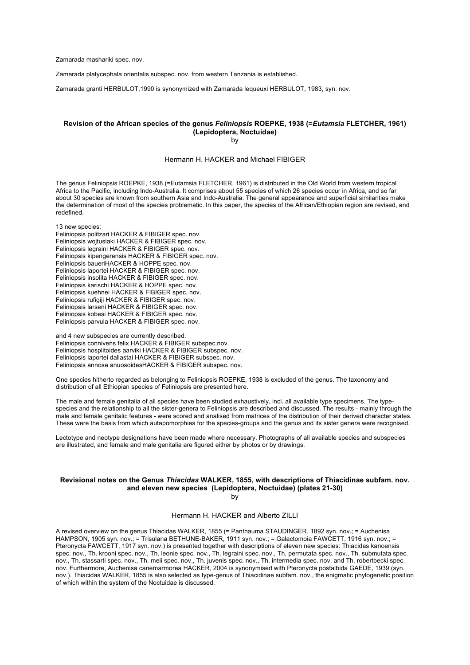Zamarada mashariki spec. nov.

Zamarada platycephala orientalis subspec. nov. from western Tanzania is established.

Zamarada granti HERBULOT,1990 is synonymized with Zamarada lequeuxi HERBULOT, 1983, syn. nov.

## **Revision of the African species of the genus** *Feliniopsis* **ROEPKE, 1938 (=***Eutamsia* **FLETCHER, 1961) (Lepidoptera, Noctuidae)**

by

### Hermann H. HACKER and Michael FIBIGER

The genus Feliniopsis ROEPKE, 1938 (=Eutamsia FLETCHER, 1961) is distributed in the Old World from western tropical Africa to the Pacific, including Indo-Australia. It comprises about 55 species of which 26 species occur in Africa, and so far about 30 species are known from southern Asia and Indo-Australia. The general appearance and superficial similarities make the determination of most of the species problematic. In this paper, the species of the African/Ethiopian region are revised, and redefined.

13 new species:

Feliniopsis politzari HACKER & FIBIGER spec. nov. Feliniopsis wojtusiaki HACKER & FIBIGER spec. nov. Feliniopsis legraini HACKER & FIBIGER spec. nov. Feliniopsis kipengerensis HACKER & FIBIGER spec. nov. Feliniopsis baueriHACKER & HOPPE spec. nov. Feliniopsis laportei HACKER & FIBIGER spec. nov. Feliniopsis insolita HACKER & FIBIGER spec. nov. Feliniopsis karischi HACKER & HOPPE spec. nov. Feliniopsis kuehnei HACKER & FIBIGER spec. nov. Feliniopsis rufigiji HACKER & FIBIGER spec. nov. Feliniopsis larseni HACKER & FIBIGER spec. nov. Feliniopsis kobesi HACKER & FIBIGER spec. nov. Feliniopsis parvula HACKER & FIBIGER spec. nov.

and 4 new subspecies are currently described: Feliniopsis connivens felix HACKER & FIBIGER subspec.nov. Feliniopsis hosplitoides aarviki HACKER & FIBIGER subspec. nov. Feliniopsis laportei dallastai HACKER & FIBIGER subspec. nov. Feliniopsis annosa anuosoidesHACKER & FIBIGER subspec. nov.

One species hitherto regarded as belonging to Feliniopsis ROEPKE, 1938 is excluded of the genus. The taxonomy and distribution of all Ethiopian species of Feliniopsis are presented here.

The male and female genitalia of all species have been studied exhaustively, incl. all available type specimens. The typespecies and the relationship to all the sister-genera to Feliniopsis are described and discussed. The results - mainly through the male and female genitalic features - were scored and analised from matrices of the distribution of their derived character states. These were the basis from which autapomorphies for the species-groups and the genus and its sister genera were recognised.

Lectotype and neotype designations have been made where necessary. Photographs of all available species and subspecies are illustrated, and female and male genitalia are figured either by photos or by drawings.

## **Revisional notes on the Genus** *Thiacidas* **WALKER, 1855, with descriptions of Thiacidinae subfam. nov. and eleven new species (Lepidoptera, Noctuidae) (plates 21-30)**

by

Hermann H. HACKER and Alberto ZILLI

A revised overview on the genus Thiacidas WALKER, 1855 (= Panthauma STAUDINGER, 1892 syn. nov.; = Auchenisa HAMPSON, 1905 syn. nov.; = Trisulana BETHUNE-BAKER, 1911 syn. nov.; = Galactomoia FAWCETT, 1916 syn. nov.; = Pteronycta FAWCETT, 1917 syn. nov.) is presented together with descriptions of eleven new species: Thiacidas kanoensis spec. nov., Th. krooni spec. nov., Th. leonie spec. nov., Th. legraini spec. nov., Th. permutata spec. nov., Th. submutata spec. nov., Th. stassarti spec. nov., Th. meii spec. nov., Th. juvenis spec. nov., Th. intermedia spec. nov. and Th. robertbecki spec. nov. Furthermore, Auchenisa canemarmorea HACKER, 2004 is synonymised with Pteronycta postalbida GAEDE, 1939 (syn. nov.). Thiacidas WALKER, 1855 is also selected as type-genus of Thiacidinae subfam. nov., the enigmatic phylogenetic position of which within the system of the Noctuidae is discussed.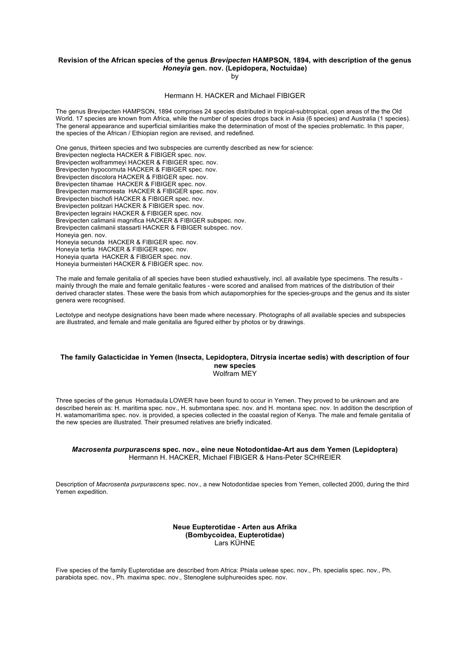## **Revision of the African species of the genus** *Brevipecten* **HAMPSON, 1894, with description of the genus**  *Honeyia* **gen. nov. (Lepidopera, Noctuidae)**

by

#### Hermann H. HACKER and Michael FIBIGER

The genus Brevipecten HAMPSON, 1894 comprises 24 species distributed in tropical-subtropical, open areas of the the Old World. 17 species are known from Africa, while the number of species drops back in Asia (6 species) and Australia (1 species). The general appearance and superficial similarities make the determination of most of the species problematic. In this paper, the species of the African / Ethiopian region are revised, and redefined.

One genus, thirteen species and two subspecies are currently described as new for science: Brevipecten neglecta HACKER & FIBIGER spec. nov. Brevipecten wolframmeyi HACKER & FIBIGER spec. nov. Brevipecten hypocornuta HACKER & FIBIGER spec. nov. Brevipecten discolora HACKER & FIBIGER spec. nov. Brevipecten tihamae HACKER & FIBIGER spec. nov. Brevipecten marmoreata HACKER & FIBIGER spec. nov. Brevipecten bischofi HACKER & FIBIGER spec. nov. Brevipecten politzari HACKER & FIBIGER spec. nov. Brevipecten legraini HACKER & FIBIGER spec. nov. Brevipecten calimanii magnifica HACKER & FIBIGER subspec. nov. Brevipecten calimanii stassarti HACKER & FIBIGER subspec. nov. Honeyia gen. nov. Honeyia secunda HACKER & FIBIGER spec. nov. Honeyia tertia HACKER & FIBIGER spec. nov. Honeyia quarta HACKER & FIBIGER spec. nov. Honeyia burmeisteri HACKER & FIBIGER spec. nov.

The male and female genitalia of all species have been studied exhaustively, incl. all available type specimens. The results mainly through the male and female genitalic features - were scored and analised from matrices of the distribution of their derived character states. These were the basis from which autapomorphies for the species-groups and the genus and its sister genera were recognised.

Lectotype and neotype designations have been made where necessary. Photographs of all available species and subspecies are illustrated, and female and male genitalia are figured either by photos or by drawings.

### **The family Galacticidae in Yemen (Insecta, Lepidoptera, Ditrysia incertae sedis) with description of four new species** Wolfram MEY

Three species of the genus Homadaula LOWER have been found to occur in Yemen. They proved to be unknown and are described herein as: H. maritima spec. nov., H. submontana spec. nov. and H. montana spec. nov. In addition the description of H. watamomaritima spec. nov. is provided, a species collected in the coastal region of Kenya. The male and female genitalia of the new species are illustrated. Their presumed relatives are briefly indicated.

#### *Macrosenta purpurascens* **spec. nov., eine neue Notodontidae-Art aus dem Yemen (Lepidoptera)** Hermann H. HACKER, Michael FIBIGER & Hans-Peter SCHREIER

Description of *Macrosenta purpurascens* spec. nov., a new Notodontidae species from Yemen, collected 2000, during the third Yemen expedition.

### **Neue Eupterotidae - Arten aus Afrika (Bombycoidea, Eupterotidae)**  Lars KÜHNE

Five species of the family Eupterotidae are described from Africa: Phiala ueleae spec. nov., Ph. specialis spec. nov., Ph. parabiota spec. nov., Ph. maxima spec. nov., Stenoglene sulphureoides spec. nov.